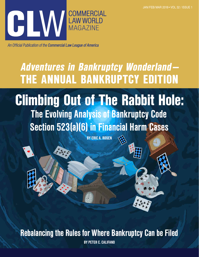

An Official Publication of the Commercial Law League of America

# Adventures in Bankruptcy Wonderland— THE ANNUAL BANKRUPTCY EDITION

Climbing Out of The Rabbit Hole: The Evolving Analysis of Bankruptcy Code Section 523(a)(6) in Financial Harm Cases

BY ERIC A. ROSEN

Rebalancing the Rules for Where Bankruptcy Can be Filed

BY PETER C. CALIFANO